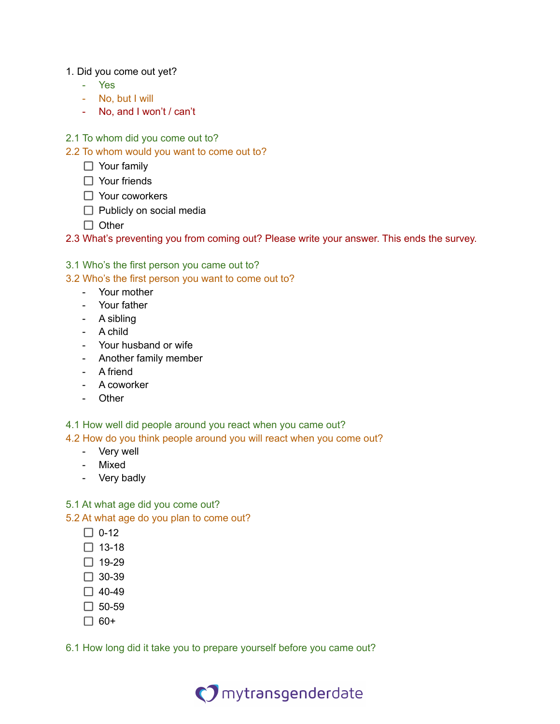## 1. Did you come out yet?

- Yes
- No, but I will
- No, and I won't / can't
- 2.1 To whom did you come out to?
- 2.2 To whom would you want to come out to?
	- □ Your family
	- □ Your friends
	- Your coworkers
	- $\Box$  Publicly on social media
	- $\Box$  Other
- 2.3 What's preventing you from coming out? Please write your answer. This ends the survey.

## 3.1 Who's the first person you came out to?

3.2 Who's the first person you want to come out to?

- Your mother
- Your father
- A sibling
- A child
- Your husband or wife
- Another family member
- A friend
- A coworker
- Other

4.1 How well did people around you react when you came out?

4.2 How do you think people around you will react when you come out?

- Very well
- Mixed
- Very badly
- 5.1 At what age did you come out?

5.2 At what age do you plan to come out?

- $\Box$  0-12
- $\Box$  13-18
- $\Box$  19-29
- $\Box$  30-39
- $\Box$  40-49
- $\Box$  50-59
- $\Box$  60+

6.1 How long did it take you to prepare yourself before you came out?

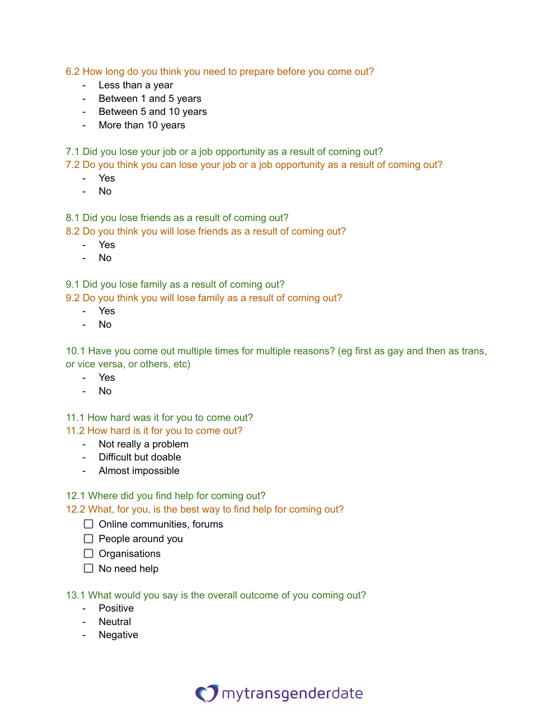6.2 How long do you think you need to prepare before you come out?

- Less than a year
- Between 1 and 5 years
- Between 5 and 10 years
- More than 10 years

7.1 Did you lose your job or a job opportunity as a result of coming out?

7.2 Do you think you can lose your job or a job opportunity as a result of coming out?

- Yes
- No

8.1 Did you lose friends as a result of coming out?

8.2 Do you think you will lose friends as a result of coming out?

- Yes
- No

9.1 Did you lose family as a result of coming out?

9.2 Do you think you will lose family as a result of coming out?

- Yes
- No

10.1 Have you come out multiple times for multiple reasons? (eg first as gay and then as trans, or vice versa, or others, etc)

- Yes
- No

11.1 How hard was it for you to come out? 11.2 How hard is it for you to come out?

- Not really a problem
- Difficult but doable
- Almost impossible

## 12.1 Where did you find help for coming out?

12.2 What, for you, is the best way to find help for coming out?

- $\Box$  Online communities, forums
- $\Box$  People around you
- $\Box$  Organisations
- $\Box$  No need help
- 13.1 What would you say is the overall outcome of you coming out?
	- Positive
	- Neutral
	- Negative